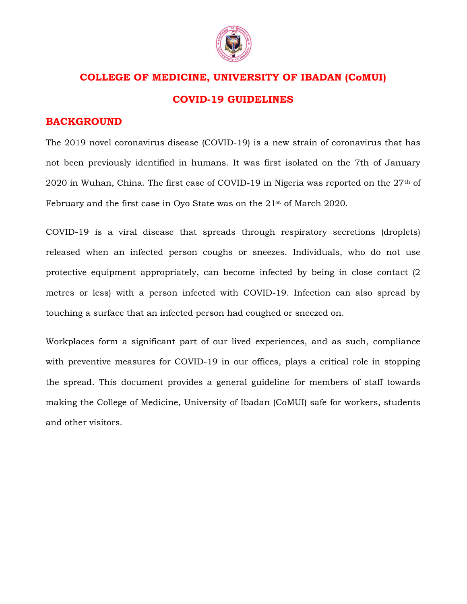

# COLLEGE OF MEDICINE, UNIVERSITY OF IBADAN (CoMUI) COVID-19 GUIDELINES

### BACKGROUND

The 2019 novel coronavirus disease (COVID-19) is a new strain of coronavirus that has not been previously identified in humans. It was first isolated on the 7th of January 2020 in Wuhan, China. The first case of COVID-19 in Nigeria was reported on the  $27<sup>th</sup>$  of February and the first case in Oyo State was on the 21st of March 2020.

COVID-19 is a viral disease that spreads through respiratory secretions (droplets) released when an infected person coughs or sneezes. Individuals, who do not use protective equipment appropriately, can become infected by being in close contact (2 metres or less) with a person infected with COVID-19. Infection can also spread by touching a surface that an infected person had coughed or sneezed on.

Workplaces form a significant part of our lived experiences, and as such, compliance with preventive measures for COVID-19 in our offices, plays a critical role in stopping the spread. This document provides a general guideline for members of staff towards making the College of Medicine, University of Ibadan (CoMUI) safe for workers, students and other visitors.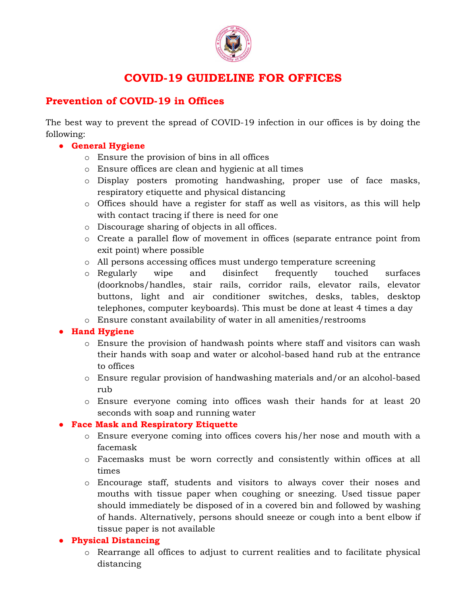

## COVID-19 GUIDELINE FOR OFFICES

## Prevention of COVID-19 in Offices

The best way to prevent the spread of COVID-19 infection in our offices is by doing the following:

### ● General Hygiene

- o Ensure the provision of bins in all offices
- o Ensure offices are clean and hygienic at all times
- o Display posters promoting handwashing, proper use of face masks, respiratory etiquette and physical distancing
- o Offices should have a register for staff as well as visitors, as this will help with contact tracing if there is need for one
- o Discourage sharing of objects in all offices.
- o Create a parallel flow of movement in offices (separate entrance point from exit point) where possible
- o All persons accessing offices must undergo temperature screening
- o Regularly wipe and disinfect frequently touched surfaces (doorknobs/handles, stair rails, corridor rails, elevator rails, elevator buttons, light and air conditioner switches, desks, tables, desktop telephones, computer keyboards). This must be done at least 4 times a day
- o Ensure constant availability of water in all amenities/restrooms

## ● Hand Hygiene

- o Ensure the provision of handwash points where staff and visitors can wash their hands with soap and water or alcohol-based hand rub at the entrance to offices
- o Ensure regular provision of handwashing materials and/or an alcohol-based rub
- o Ensure everyone coming into offices wash their hands for at least 20 seconds with soap and running water

## ● Face Mask and Respiratory Etiquette

- o Ensure everyone coming into offices covers his/her nose and mouth with a facemask
- o Facemasks must be worn correctly and consistently within offices at all times
- o Encourage staff, students and visitors to always cover their noses and mouths with tissue paper when coughing or sneezing. Used tissue paper should immediately be disposed of in a covered bin and followed by washing of hands. Alternatively, persons should sneeze or cough into a bent elbow if tissue paper is not available

#### ● Physical Distancing

o Rearrange all offices to adjust to current realities and to facilitate physical distancing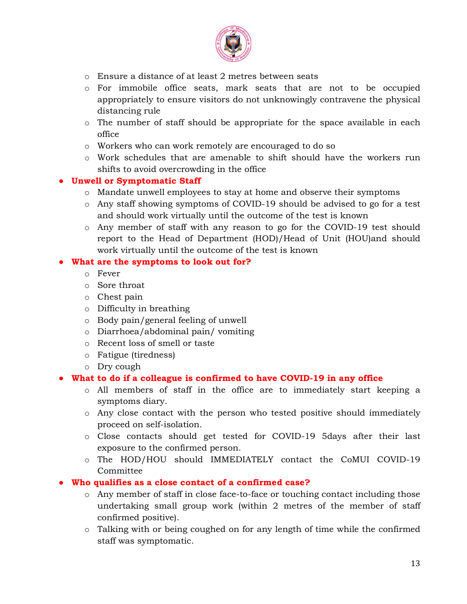

- o Ensure a distance of at least 2 metres between seats
- o For immobile office seats, mark seats that are not to be occupied appropriately to ensure visitors do not unknowingly contravene the physical distancing rule
- $\circ$  The number of staff should be appropriate for the space available in each office
- o Workers who can work remotely are encouraged to do so
- o Work schedules that are amenable to shift should have the workers run shifts to avoid overcrowding in the office

#### ● Unwell or Symptomatic Staff

- o Mandate unwell employees to stay at home and observe their symptoms
- o Any staff showing symptoms of COVID-19 should be advised to go for a test and should work virtually until the outcome of the test is known
- o Any member of staff with any reason to go for the COVID-19 test should report to the Head of Department (HOD)/Head of Unit (HOU)and should work virtually until the outcome of the test is known

#### What are the symptoms to look out for?

- o Fever
- o Sore throat
- o Chest pain
- o Difficulty in breathing
- o Body pain/general feeling of unwell
- o Diarrhoea/abdominal pain/ vomiting
- o Recent loss of smell or taste
- o Fatigue (tiredness)
- o Dry cough

#### ● What to do if a colleague is confirmed to have COVID-19 in any office

- o All members of staff in the office are to immediately start keeping a symptoms diary.
- o Any close contact with the person who tested positive should immediately proceed on self-isolation.
- o Close contacts should get tested for COVID-19 5days after their last exposure to the confirmed person.
- o The HOD/HOU should IMMEDIATELY contact the CoMUI COVID-19 Committee
- Who qualifies as a close contact of a confirmed case?
	- o Any member of staff in close face-to-face or touching contact including those undertaking small group work (within 2 metres of the member of staff confirmed positive).
	- o Talking with or being coughed on for any length of time while the confirmed staff was symptomatic.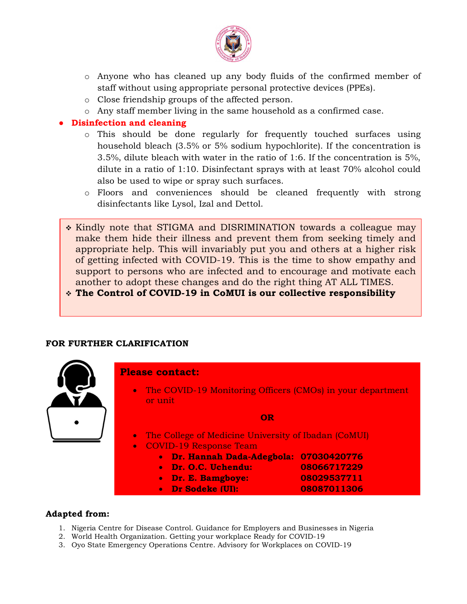

- $\circ$  Anyone who has cleaned up any body fluids of the confirmed member of staff without using appropriate personal protective devices (PPEs).
- o Close friendship groups of the affected person.
- o Any staff member living in the same household as a confirmed case.
- Disinfection and cleaning
	- o This should be done regularly for frequently touched surfaces using household bleach (3.5% or 5% sodium hypochlorite). If the concentration is 3.5%, dilute bleach with water in the ratio of 1:6. If the concentration is 5%, dilute in a ratio of 1:10. Disinfectant sprays with at least 70% alcohol could also be used to wipe or spray such surfaces.
	- o Floors and conveniences should be cleaned frequently with strong disinfectants like Lysol, Izal and Dettol.
	- \* Kindly note that STIGMA and DISRIMINATION towards a colleague may make them hide their illness and prevent them from seeking timely and appropriate help. This will invariably put you and others at a higher risk of getting infected with COVID-19. This is the time to show empathy and support to persons who are infected and to encourage and motivate each another to adopt these changes and do the right thing AT ALL TIMES.

The Control of COVID-19 in CoMUI is our collective responsibility

#### FOR FURTHER CLARIFICATION



#### Adapted from:

- 1. Nigeria Centre for Disease Control. Guidance for Employers and Businesses in Nigeria
- 2. World Health Organization. Getting your workplace Ready for COVID-19
- 3. Oyo State Emergency Operations Centre. Advisory for Workplaces on COVID-19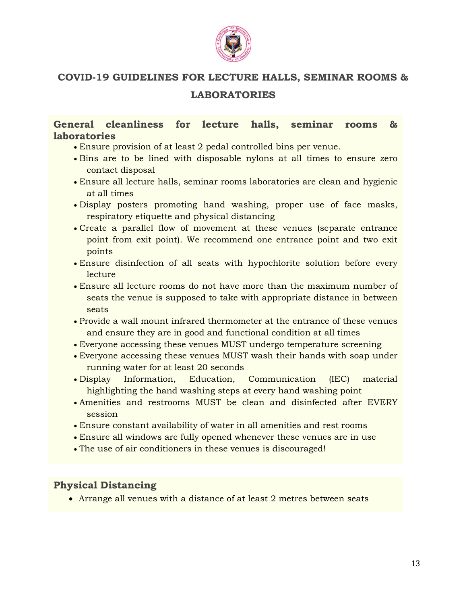

## COVID-19 GUIDELINES FOR LECTURE HALLS, SEMINAR ROOMS & LABORATORIES

## General cleanliness for lecture halls, seminar rooms & **laboratories**

- Ensure provision of at least 2 pedal controlled bins per venue.
- Bins are to be lined with disposable nylons at all times to ensure zero contact disposal
- Ensure all lecture halls, seminar rooms laboratories are clean and hygienic at all times
- Display posters promoting hand washing, proper use of face masks, respiratory etiquette and physical distancing
- Create a parallel flow of movement at these venues (separate entrance point from exit point). We recommend one entrance point and two exit points
- Ensure disinfection of all seats with hypochlorite solution before every lecture
- Ensure all lecture rooms do not have more than the maximum number of seats the venue is supposed to take with appropriate distance in between seats
- Provide a wall mount infrared thermometer at the entrance of these venues and ensure they are in good and functional condition at all times
- Everyone accessing these venues MUST undergo temperature screening
- Everyone accessing these venues MUST wash their hands with soap under running water for at least 20 seconds
- Display Information, Education, Communication (IEC) material highlighting the hand washing steps at every hand washing point
- Amenities and restrooms MUST be clean and disinfected after EVERY session
- Ensure constant availability of water in all amenities and rest rooms
- Ensure all windows are fully opened whenever these venues are in use
- The use of air conditioners in these venues is discouraged!

## Physical Distancing

Arrange all venues with a distance of at least 2 metres between seats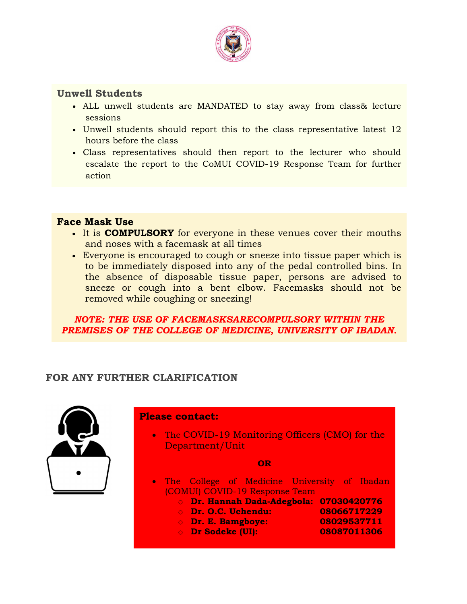

## Unwell Students

- ALL unwell students are MANDATED to stay away from class& lecture sessions
- Unwell students should report this to the class representative latest 12 hours before the class
- Class representatives should then report to the lecturer who should escalate the report to the CoMUI COVID-19 Response Team for further action

## Face Mask Use

- It is **COMPULSORY** for everyone in these venues cover their mouths and noses with a facemask at all times
- Everyone is encouraged to cough or sneeze into tissue paper which is to be immediately disposed into any of the pedal controlled bins. In the absence of disposable tissue paper, persons are advised to sneeze or cough into a bent elbow. Facemasks should not be removed while coughing or sneezing!

NOTE: THE USE OF FACEMASKSARECOMPULSORY WITHIN THE PREMISES OF THE COLLEGE OF MEDICINE, UNIVERSITY OF IBADAN.

## FOR ANY FURTHER CLARIFICATION



Please contact:

• The COVID-19 Monitoring Officers (CMO) for the Department/Unit

OR

- (COMUI) COVID-19 Response Team • The College of Medicine University of Ibadan
	- o Dr. Hannah Dada-Adegbola: 07030420776
	- o Dr. O.C. Uchendu: 08066717229
	- o Dr. E. Bamgboye: 08029537711
	- o Dr Sodeke (UI): 08087011306
-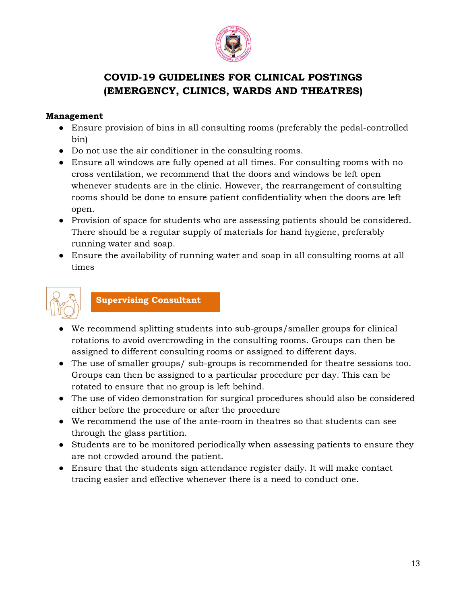

## COVID-19 GUIDELINES FOR CLINICAL POSTINGS (EMERGENCY, CLINICS, WARDS AND THEATRES)

#### Management

- Ensure provision of bins in all consulting rooms (preferably the pedal-controlled bin)
- Do not use the air conditioner in the consulting rooms.
- Ensure all windows are fully opened at all times. For consulting rooms with no cross ventilation, we recommend that the doors and windows be left open whenever students are in the clinic. However, the rearrangement of consulting rooms should be done to ensure patient confidentiality when the doors are left open.
- Provision of space for students who are assessing patients should be considered. There should be a regular supply of materials for hand hygiene, preferably running water and soap.
- Ensure the availability of running water and soap in all consulting rooms at all times



Supervising Consultant

- We recommend splitting students into sub-groups/smaller groups for clinical rotations to avoid overcrowding in the consulting rooms. Groups can then be assigned to different consulting rooms or assigned to different days.
- The use of smaller groups/ sub-groups is recommended for theatre sessions too. Groups can then be assigned to a particular procedure per day. This can be rotated to ensure that no group is left behind.
- The use of video demonstration for surgical procedures should also be considered either before the procedure or after the procedure
- We recommend the use of the ante-room in theatres so that students can see through the glass partition.
- Students are to be monitored periodically when assessing patients to ensure they are not crowded around the patient.
- Ensure that the students sign attendance register daily. It will make contact tracing easier and effective whenever there is a need to conduct one.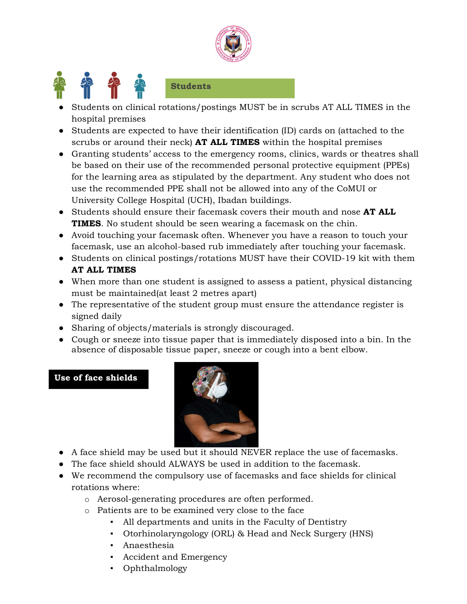



### Students

- Students on clinical rotations/postings MUST be in scrubs AT ALL TIMES in the hospital premises
- Students are expected to have their identification (ID) cards on (attached to the scrubs or around their neck) AT ALL TIMES within the hospital premises
- Granting students' access to the emergency rooms, clinics, wards or theatres shall be based on their use of the recommended personal protective equipment (PPEs) for the learning area as stipulated by the department. Any student who does not use the recommended PPE shall not be allowed into any of the CoMUI or University College Hospital (UCH), Ibadan buildings.
- Students should ensure their facemask covers their mouth and nose AT ALL TIMES. No student should be seen wearing a facemask on the chin.
- Avoid touching your facemask often. Whenever you have a reason to touch your facemask, use an alcohol-based rub immediately after touching your facemask.
- Students on clinical postings/rotations MUST have their COVID-19 kit with them AT ALL TIMES
- When more than one student is assigned to assess a patient, physical distancing must be maintained(at least 2 metres apart)
- The representative of the student group must ensure the attendance register is signed daily
- Sharing of objects/materials is strongly discouraged.
- Cough or sneeze into tissue paper that is immediately disposed into a bin. In the absence of disposable tissue paper, sneeze or cough into a bent elbow.

### Use of face shields



- A face shield may be used but it should NEVER replace the use of facemasks.
- The face shield should ALWAYS be used in addition to the facemask.
- We recommend the compulsory use of facemasks and face shields for clinical rotations where:
	- o Aerosol-generating procedures are often performed.
	- o Patients are to be examined very close to the face
		- All departments and units in the Faculty of Dentistry
		- Otorhinolaryngology (ORL) & Head and Neck Surgery (HNS)
		- Anaesthesia
		- Accident and Emergency
		- Ophthalmology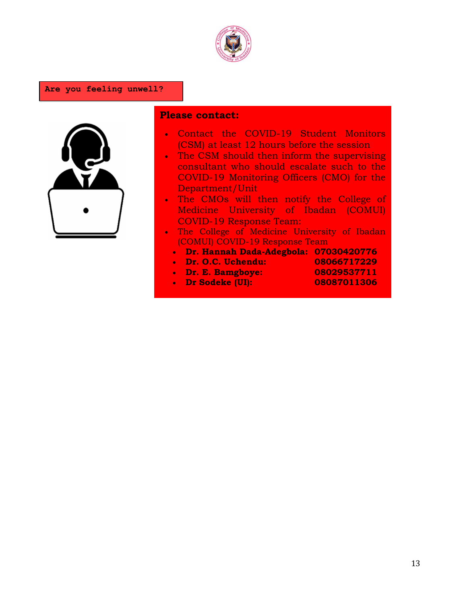

#### Are you feeling unwell?



### Please contact:

- Contact the COVID-19 Student Monitors (CSM) at least 12 hours before the session
- The CSM should then inform the supervising consultant who should escalate such to the COVID-19 Monitoring Officers (CMO) for the Department/Unit
- . The CMOs will then notify the College of Medicine University of Ibadan (COMUI) COVID-19 Response Team:
- The College of Medicine University of Ibadan (COMUI) COVID-19 Response Team
	- Dr. Hannah Dada-Adegbola: 07030420776
	- Dr. O.C. Uchendu: 08066717229
	- Dr. E. Bamgboye: 08029537711
	- Dr Sodeke (UI): 08087011306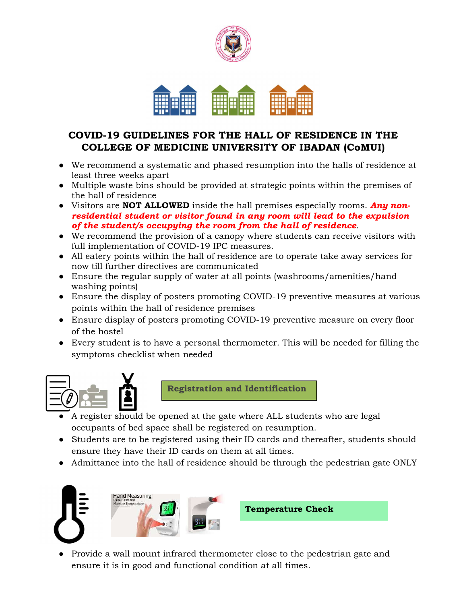

## COVID-19 GUIDELINES FOR THE HALL OF RESIDENCE IN THE COLLEGE OF MEDICINE UNIVERSITY OF IBADAN (CoMUI)

- We recommend a systematic and phased resumption into the halls of residence at least three weeks apart
- Multiple waste bins should be provided at strategic points within the premises of the hall of residence
- Visitors are **NOT ALLOWED** inside the hall premises especially rooms. Any nonresidential student or visitor found in any room will lead to the expulsion of the student/s occupying the room from the hall of residence.
- We recommend the provision of a canopy where students can receive visitors with full implementation of COVID-19 IPC measures.
- All eatery points within the hall of residence are to operate take away services for now till further directives are communicated
- Ensure the regular supply of water at all points (washrooms/amenities/hand washing points)
- Ensure the display of posters promoting COVID-19 preventive measures at various points within the hall of residence premises
- Ensure display of posters promoting COVID-19 preventive measure on every floor of the hostel
- Every student is to have a personal thermometer. This will be needed for filling the symptoms checklist when needed



Registration and Identification

- A register should be opened at the gate where ALL students who are legal occupants of bed space shall be registered on resumption.
- Students are to be registered using their ID cards and thereafter, students should ensure they have their ID cards on them at all times.
- Admittance into the hall of residence should be through the pedestrian gate ONLY





Temperature Check

● Provide a wall mount infrared thermometer close to the pedestrian gate and ensure it is in good and functional condition at all times.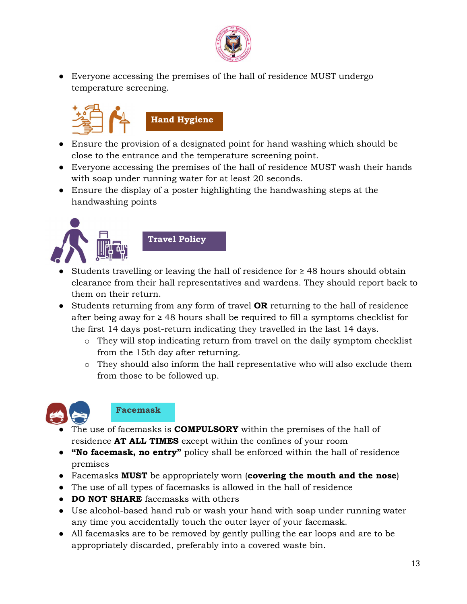

● Everyone accessing the premises of the hall of residence MUST undergo temperature screening.



- Ensure the provision of a designated point for hand washing which should be close to the entrance and the temperature screening point.
- Everyone accessing the premises of the hall of residence MUST wash their hands with soap under running water for at least 20 seconds.
- Ensure the display of a poster highlighting the handwashing steps at the handwashing points





- Students travelling or leaving the hall of residence for  $\geq$  48 hours should obtain clearance from their hall representatives and wardens. They should report back to them on their return.
- Students returning from any form of travel OR returning to the hall of residence after being away for  $\geq$  48 hours shall be required to fill a symptoms checklist for the first 14 days post-return indicating they travelled in the last 14 days.
	- o They will stop indicating return from travel on the daily symptom checklist from the 15th day after returning.
	- o They should also inform the hall representative who will also exclude them from those to be followed up.



## Facemask

- The use of facemasks is **COMPULSORY** within the premises of the hall of residence **AT ALL TIMES** except within the confines of your room
- "No facemask, no entry" policy shall be enforced within the hall of residence premises
- Facemasks MUST be appropriately worn (covering the mouth and the nose)
- The use of all types of facemasks is allowed in the hall of residence
- DO NOT SHARE facemasks with others
- Use alcohol-based hand rub or wash your hand with soap under running water any time you accidentally touch the outer layer of your facemask.
- All facemasks are to be removed by gently pulling the ear loops and are to be appropriately discarded, preferably into a covered waste bin.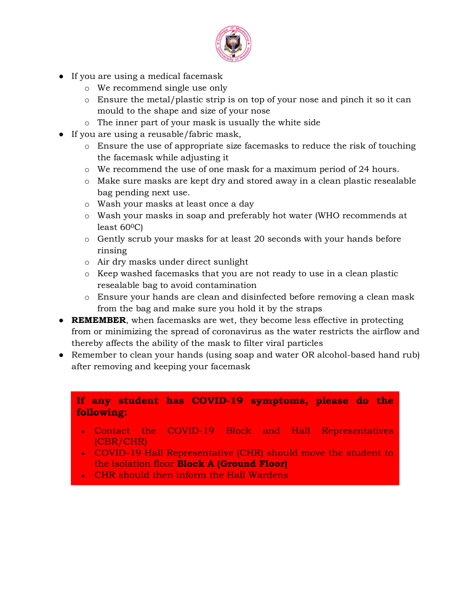

- If you are using a medical facemask
	- o We recommend single use only
	- o Ensure the metal/plastic strip is on top of your nose and pinch it so it can mould to the shape and size of your nose
	- o The inner part of your mask is usually the white side
- If you are using a reusable/fabric mask,
	- o Ensure the use of appropriate size facemasks to reduce the risk of touching the facemask while adjusting it
	- o We recommend the use of one mask for a maximum period of 24 hours.
	- o Make sure masks are kept dry and stored away in a clean plastic resealable bag pending next use.
	- o Wash your masks at least once a day
	- o Wash your masks in soap and preferably hot water (WHO recommends at least  $60^{\circ}$ C)
	- o Gently scrub your masks for at least 20 seconds with your hands before rinsing
	- o Air dry masks under direct sunlight
	- o Keep washed facemasks that you are not ready to use in a clean plastic resealable bag to avoid contamination
	- o Ensure your hands are clean and disinfected before removing a clean mask from the bag and make sure you hold it by the straps
- REMEMBER, when facemasks are wet, they become less effective in protecting from or minimizing the spread of coronavirus as the water restricts the airflow and thereby affects the ability of the mask to filter viral particles
- Remember to clean your hands (using soap and water OR alcohol-based hand rub) after removing and keeping your facemask

## If any student has COVID-19 symptoms, please do the following:

- Contact the COVID-19 Block and Hall Representatives (CBR/CHR)
- COVID-19 Hall Representative (CHR) should move the student to the isolation floor Block A (Ground Floor)
- CHR should then inform the Hall Wardens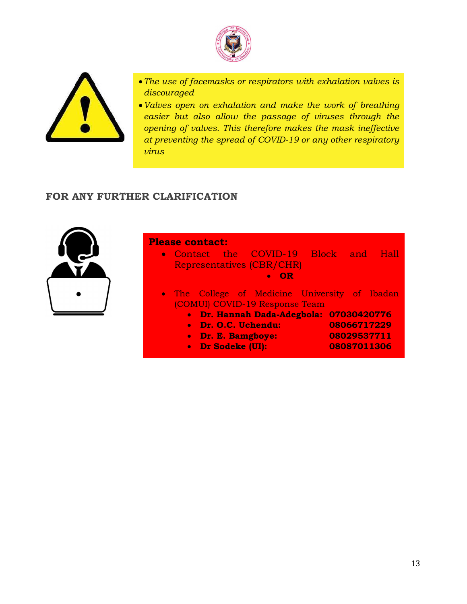



- The use of facemasks or respirators with exhalation valves is discouraged
- Valves open on exhalation and make the work of breathing easier but also allow the passage of viruses through the opening of valves. This therefore makes the mask ineffective at preventing the spread of COVID-19 or any other respiratory virus

## FOR ANY FURTHER CLARIFICATION



#### Please contact:

- Contact the COVID-19 Block and Hall Representatives (CBR/CHR) OR
- The College of Medicine University of Ibadan (COMUI) COVID-19 Response Team
- **Dr. Hannah Dada-Adegbola: 07030420776** 
	- Dr. O.C. Uchendu: 08066717229
		- Dr. E. Bamgboye: 08029537711
		-
		- Dr Sodeke (UI): 08087011306